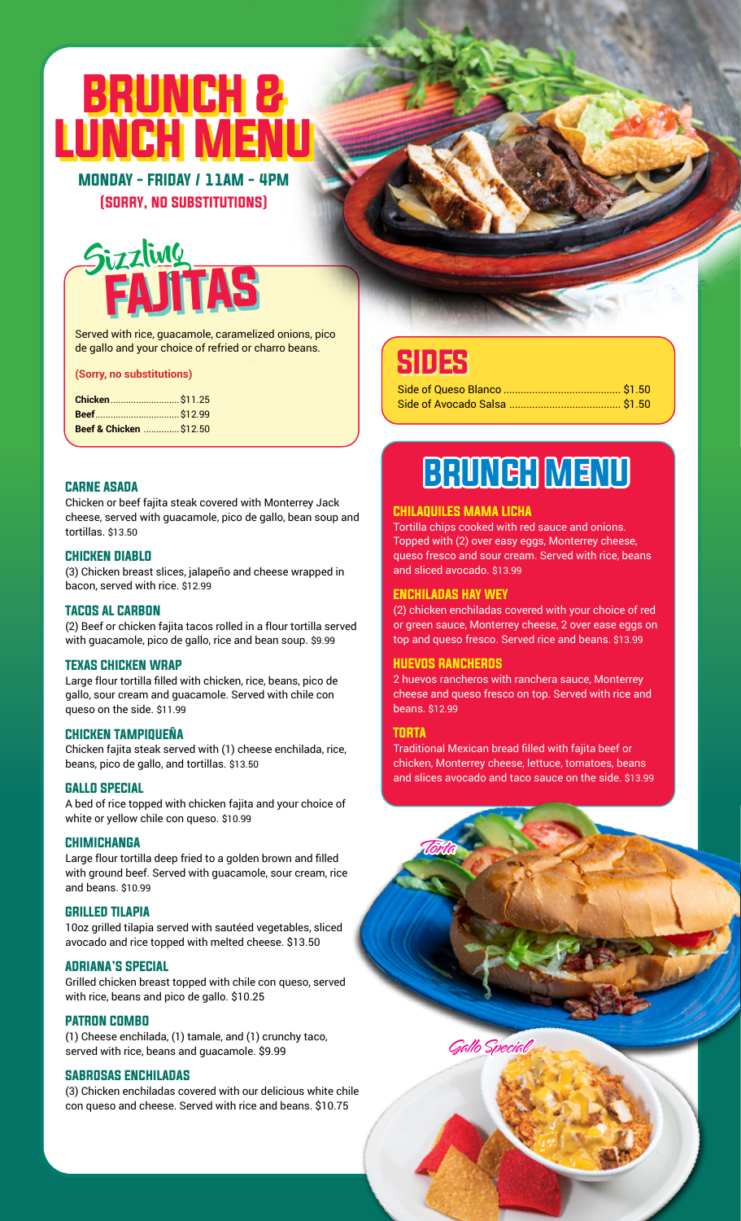# BRUNCH & UNCH I

MONDAY - FRIDAY / 11AM - 4PM (SORRY, NO SUBSTITUTIONS)

### **Sizzling** FAJITAS

Served with rice, guacamole, caramelized onions, pico de gallo and your choice of refried or charro beans.

#### **(Sorry, no substitutions)**

| Beef & Chicken  \$12.50 |  |
|-------------------------|--|

#### CARNE ASADA

Chicken or beef fajita steak covered with Monterrey Jack cheese, served with guacamole, pico de gallo, bean soup and tortillas. \$13.50

#### CHICKEN DIABLO

(3) Chicken breast slices, jalapeño and cheese wrapped in bacon, served with rice. \$12.99

#### TACOS AL CARBON

(2) Beef or chicken fajita tacos rolled in a flour tortilla served with guacamole, pico de gallo, rice and bean soup. \$9.99

#### TEXAS CHICKEN WRAP

Large flour tortilla filled with chicken, rice, beans, pico de gallo, sour cream and guacamole. Served with chile con queso on the side. \$11.99

#### CHICKEN TAMPIQUEÑA

Chicken fajita steak served with (1) cheese enchilada, rice, beans, pico de gallo, and tortillas. \$13.50

#### GALLO SPECIAL

A bed of rice topped with chicken fajita and your choice of white or yellow chile con queso. \$10.99

#### **CHIMICHANGA**

Large flour tortilla deep fried to a golden brown and filled with ground beef. Served with guacamole, sour cream, rice and beans. \$10.99

#### GRILLED TILAPIA

10oz grilled tilapia served with sautéed vegetables, sliced avocado and rice topped with melted cheese. \$13.50

#### ADRIANA'S SPECIAL

Grilled chicken breast topped with chile con queso, served with rice, beans and pico de gallo. \$10.25

#### PATRON COMBO

(1) Cheese enchilada, (1) tamale, and (1) crunchy taco, served with rice, beans and guacamole. \$9.99

#### SABROSAS ENCHILADAS

(3) Chicken enchiladas covered with our delicious white chile con queso and cheese. Served with rice and beans. \$10.75

### SIDES

## BRUNCH MENU

#### CHILAQUILES MAMA LICHA

Tortilla chips cooked with red sauce and onions. Topped with (2) over easy eggs, Monterrey cheese, queso fresco and sour cream. Served with rice, beans and sliced avocado. \$13.99

#### ENCHILADAS HAY WEY

(2) chicken enchiladas covered with your choice of red or green sauce, Monterrey cheese, 2 over ease eggs on top and queso fresco. Served rice and beans. \$13.99

#### HUEVOS RANCHEROS

Torta

2 huevos rancheros with ranchera sauce, Monterrey cheese and queso fresco on top. Served with rice and beans. \$12.99

#### TORTA

Traditional Mexican bread filled with fajita beef or chicken, Monterrey cheese, lettuce, tomatoes, beans and slices avocado and taco sauce on the side. \$13.99

Gallo Special